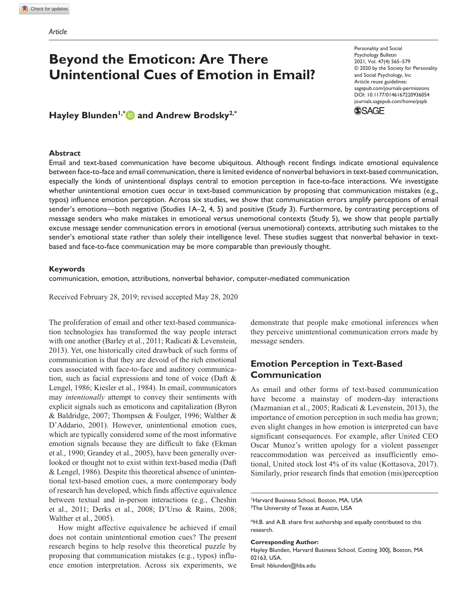# **Beyond the Emoticon: Are There Unintentional Cues of Emotion in Email?**

https://doi.org/10.1177/0146167220936054 DOI: 10.1177/0146167220936054 Personality and Social Psychology Bulletin 2021, Vol. 47(4) 565-579 © 2020 by the Society for Personality and Social Psychology, Inc Article reuse guidelines: sagepub.com/journals-permissions journals.sagepub.com/home/pspb



**Hayley Blunden1,\* and Andrew Brodsky2,\***

### **Abstract**

Email and text-based communication have become ubiquitous. Although recent findings indicate emotional equivalence between face-to-face and email communication, there is limited evidence of nonverbal behaviors in text-based communication, especially the kinds of unintentional displays central to emotion perception in face-to-face interactions. We investigate whether unintentional emotion cues occur in text-based communication by proposing that communication mistakes (e.g., typos) influence emotion perception. Across six studies, we show that communication errors amplify perceptions of email sender's emotions—both negative (Studies 1A–2, 4, 5) and positive (Study 3). Furthermore, by contrasting perceptions of message senders who make mistakes in emotional versus unemotional contexts (Study 5), we show that people partially excuse message sender communication errors in emotional (versus unemotional) contexts, attributing such mistakes to the sender's emotional state rather than solely their intelligence level. These studies suggest that nonverbal behavior in textbased and face-to-face communication may be more comparable than previously thought.

### **Keywords**

communication, emotion, attributions, nonverbal behavior, computer-mediated communication

Received February 28, 2019; revised accepted May 28, 2020

The proliferation of email and other text-based communication technologies has transformed the way people interact with one another (Barley et al., 2011; Radicati & Levenstein, 2013). Yet, one historically cited drawback of such forms of communication is that they are devoid of the rich emotional cues associated with face-to-face and auditory communication, such as facial expressions and tone of voice (Daft & Lengel, 1986; Kiesler et al., 1984). In email, communicators may *intentionally* attempt to convey their sentiments with explicit signals such as emoticons and capitalization (Byron & Baldridge, 2007; Thompsen & Foulger, 1996; Walther & D'Addario, 2001). However, unintentional emotion cues, which are typically considered some of the most informative emotion signals because they are difficult to fake (Ekman et al., 1990; Grandey et al., 2005), have been generally overlooked or thought not to exist within text-based media (Daft & Lengel, 1986). Despite this theoretical absence of unintentional text-based emotion cues, a more contemporary body of research has developed, which finds affective equivalence between textual and in-person interactions (e.g., Cheshin et al., 2011; Derks et al., 2008; D'Urso & Rains, 2008; Walther et al., 2005).

How might affective equivalence be achieved if email does not contain unintentional emotion cues? The present research begins to help resolve this theoretical puzzle by proposing that communication mistakes (e.g., typos) influence emotion interpretation. Across six experiments, we demonstrate that people make emotional inferences when they perceive unintentional communication errors made by message senders.

# **Emotion Perception in Text-Based Communication**

As email and other forms of text-based communication have become a mainstay of modern-day interactions (Mazmanian et al., 2005; Radicati & Levenstein, 2013), the importance of emotion perception in such media has grown; even slight changes in how emotion is interpreted can have significant consequences. For example, after United CEO Oscar Munoz's written apology for a violent passenger reaccommodation was perceived as insufficiently emotional, United stock lost 4% of its value (Kottasova, 2017). Similarly, prior research finds that emotion (mis)perception

#### **Corresponding Author:**

Hayley Blunden, Harvard Business School, Cotting 300J, Boston, MA 02163, USA. Email: hblunden@hbs.edu

<sup>&</sup>lt;sup>1</sup>Harvard Business School, Boston, MA, USA <sup>2</sup>The University of Texas at Austin, USA

<sup>\*</sup>H.B. and A.B. share first authorship and equally contributed to this research.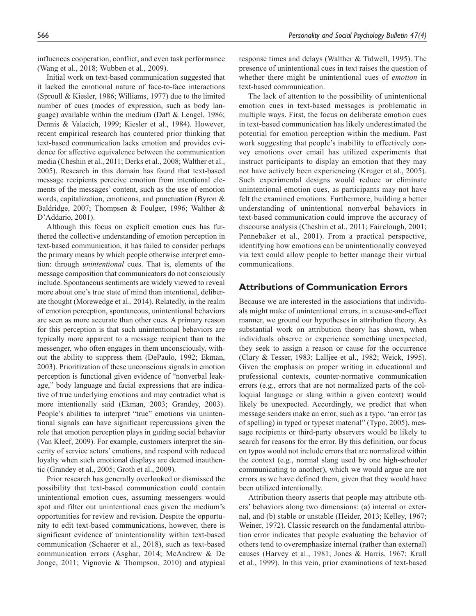influences cooperation, conflict, and even task performance (Wang et al., 2018; Wubben et al., 2009).

Initial work on text-based communication suggested that it lacked the emotional nature of face-to-face interactions (Sproull & Kiesler, 1986; Williams, 1977) due to the limited number of cues (modes of expression, such as body language) available within the medium (Daft & Lengel, 1986; Dennis & Valacich, 1999; Kiesler et al., 1984). However, recent empirical research has countered prior thinking that text-based communication lacks emotion and provides evidence for affective equivalence between the communication media (Cheshin et al., 2011; Derks et al., 2008; Walther et al., 2005). Research in this domain has found that text-based message recipients perceive emotion from intentional elements of the messages' content, such as the use of emotion words, capitalization, emoticons, and punctuation (Byron & Baldridge, 2007; Thompsen & Foulger, 1996; Walther & D'Addario, 2001).

Although this focus on explicit emotion cues has furthered the collective understanding of emotion perception in text-based communication, it has failed to consider perhaps the primary means by which people otherwise interpret emotion: through *unintentional* cues. That is, elements of the message composition that communicators do not consciously include. Spontaneous sentiments are widely viewed to reveal more about one's true state of mind than intentional, deliberate thought (Morewedge et al., 2014). Relatedly, in the realm of emotion perception, spontaneous, unintentional behaviors are seen as more accurate than other cues. A primary reason for this perception is that such unintentional behaviors are typically more apparent to a message recipient than to the messenger, who often engages in them unconsciously, without the ability to suppress them (DePaulo, 1992; Ekman, 2003). Prioritization of these unconscious signals in emotion perception is functional given evidence of "nonverbal leakage," body language and facial expressions that are indicative of true underlying emotions and may contradict what is more intentionally said (Ekman, 2003; Grandey, 2003). People's abilities to interpret "true" emotions via unintentional signals can have significant repercussions given the role that emotion perception plays in guiding social behavior (Van Kleef, 2009). For example, customers interpret the sincerity of service actors' emotions, and respond with reduced loyalty when such emotional displays are deemed inauthentic (Grandey et al., 2005; Groth et al., 2009).

Prior research has generally overlooked or dismissed the possibility that text-based communication could contain unintentional emotion cues, assuming messengers would spot and filter out unintentional cues given the medium's opportunities for review and revision. Despite the opportunity to edit text-based communications, however, there is significant evidence of unintentionality within text-based communication (Schaerer et al., 2018), such as text-based communication errors (Asghar, 2014; McAndrew & De Jonge, 2011; Vignovic & Thompson, 2010) and atypical

response times and delays (Walther & Tidwell, 1995). The presence of unintentional cues in text raises the question of whether there might be unintentional cues of *emotion* in text-based communication.

The lack of attention to the possibility of unintentional emotion cues in text-based messages is problematic in multiple ways. First, the focus on deliberate emotion cues in text-based communication has likely underestimated the potential for emotion perception within the medium. Past work suggesting that people's inability to effectively convey emotions over email has utilized experiments that instruct participants to display an emotion that they may not have actively been experiencing (Kruger et al., 2005). Such experimental designs would reduce or eliminate unintentional emotion cues, as participants may not have felt the examined emotions. Furthermore, building a better understanding of unintentional nonverbal behaviors in text-based communication could improve the accuracy of discourse analysis (Cheshin et al., 2011; Fairclough, 2001; Pennebaker et al., 2001). From a practical perspective, identifying how emotions can be unintentionally conveyed via text could allow people to better manage their virtual communications.

# **Attributions of Communication Errors**

Because we are interested in the associations that individuals might make of unintentional errors, in a cause-and-effect manner, we ground our hypotheses in attribution theory. As substantial work on attribution theory has shown, when individuals observe or experience something unexpected, they seek to assign a reason or cause for the occurrence (Clary & Tesser, 1983; Lalljee et al., 1982; Weick, 1995). Given the emphasis on proper writing in educational and professional contexts, counter-normative communication errors (e.g., errors that are not normalized parts of the colloquial language or slang within a given context) would likely be unexpected. Accordingly, we predict that when message senders make an error, such as a typo, "an error (as of spelling) in typed or typeset material" (Typo, 2005), message recipients or third-party observers would be likely to search for reasons for the error. By this definition, our focus on typos would not include errors that are normalized within the context (e.g., normal slang used by one high-schooler communicating to another), which we would argue are not errors as we have defined them, given that they would have been utilized intentionally.

Attribution theory asserts that people may attribute others' behaviors along two dimensions: (a) internal or external, and (b) stable or unstable (Heider, 2013; Kelley, 1967; Weiner, 1972). Classic research on the fundamental attribution error indicates that people evaluating the behavior of others tend to overemphasize internal (rather than external) causes (Harvey et al., 1981; Jones & Harris, 1967; Krull et al., 1999). In this vein, prior examinations of text-based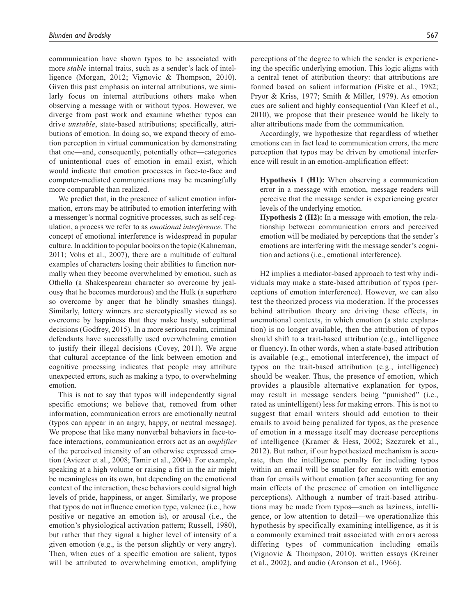communication have shown typos to be associated with more *stable* internal traits, such as a sender's lack of intelligence (Morgan, 2012; Vignovic & Thompson, 2010). Given this past emphasis on internal attributions, we similarly focus on internal attributions others make when observing a message with or without typos. However, we diverge from past work and examine whether typos can drive *unstable*, state-based attributions; specifically, attributions of emotion. In doing so, we expand theory of emotion perception in virtual communication by demonstrating that one—and, consequently, potentially other—categories of unintentional cues of emotion in email exist, which would indicate that emotion processes in face-to-face and computer-mediated communications may be meaningfully more comparable than realized.

We predict that, in the presence of salient emotion information, errors may be attributed to emotion interfering with a messenger's normal cognitive processes, such as self-regulation, a process we refer to as *emotional interference*. The concept of emotional interference is widespread in popular culture. In addition to popular books on the topic (Kahneman, 2011; Vohs et al., 2007), there are a multitude of cultural examples of characters losing their abilities to function normally when they become overwhelmed by emotion, such as Othello (a Shakespearean character so overcome by jealousy that he becomes murderous) and the Hulk (a superhero so overcome by anger that he blindly smashes things). Similarly, lottery winners are stereotypically viewed as so overcome by happiness that they make hasty, suboptimal decisions (Godfrey, 2015). In a more serious realm, criminal defendants have successfully used overwhelming emotion to justify their illegal decisions (Covey, 2011). We argue that cultural acceptance of the link between emotion and cognitive processing indicates that people may attribute unexpected errors, such as making a typo, to overwhelming emotion.

This is not to say that typos will independently signal specific emotions; we believe that, removed from other information, communication errors are emotionally neutral (typos can appear in an angry, happy, or neutral message). We propose that like many nonverbal behaviors in face-toface interactions, communication errors act as an *amplifier* of the perceived intensity of an otherwise expressed emotion (Aviezer et al., 2008; Tamir et al., 2004). For example, speaking at a high volume or raising a fist in the air might be meaningless on its own, but depending on the emotional context of the interaction, these behaviors could signal high levels of pride, happiness, or anger. Similarly, we propose that typos do not influence emotion type, valence (i.e., how positive or negative an emotion is), or arousal (i.e., the emotion's physiological activation pattern; Russell, 1980), but rather that they signal a higher level of intensity of a given emotion (e.g., is the person slightly or very angry). Then, when cues of a specific emotion are salient, typos will be attributed to overwhelming emotion, amplifying

perceptions of the degree to which the sender is experiencing the specific underlying emotion. This logic aligns with a central tenet of attribution theory: that attributions are formed based on salient information (Fiske et al., 1982; Pryor & Kriss, 1977; Smith & Miller, 1979). As emotion cues are salient and highly consequential (Van Kleef et al., 2010), we propose that their presence would be likely to alter attributions made from the communication.

Accordingly, we hypothesize that regardless of whether emotions can in fact lead to communication errors, the mere perception that typos may be driven by emotional interference will result in an emotion-amplification effect:

**Hypothesis 1 (H1):** When observing a communication error in a message with emotion, message readers will perceive that the message sender is experiencing greater levels of the underlying emotion.

**Hypothesis 2 (H2):** In a message with emotion, the relationship between communication errors and perceived emotion will be mediated by perceptions that the sender's emotions are interfering with the message sender's cognition and actions (i.e., emotional interference).

H2 implies a mediator-based approach to test why individuals may make a state-based attribution of typos (perceptions of emotion interference). However, we can also test the theorized process via moderation. If the processes behind attribution theory are driving these effects, in *un*emotional contexts, in which emotion (a state explanation) is no longer available, then the attribution of typos should shift to a trait-based attribution (e.g., intelligence or fluency). In other words, when a state-based attribution is available (e.g., emotional interference), the impact of typos on the trait-based attribution (e.g., intelligence) should be weaker. Thus, the presence of emotion, which provides a plausible alternative explanation for typos, may result in message senders being "punished" (i.e., rated as unintelligent) less for making errors. This is not to suggest that email writers should add emotion to their emails to avoid being penalized for typos, as the presence of emotion in a message itself may decrease perceptions of intelligence (Kramer & Hess, 2002; Szczurek et al., 2012). But rather, if our hypothesized mechanism is accurate, then the intelligence penalty for including typos within an email will be smaller for emails with emotion than for emails without emotion (after accounting for any main effects of the presence of emotion on intelligence perceptions). Although a number of trait-based attributions may be made from typos—such as laziness, intelligence, or low attention to detail—we operationalize this hypothesis by specifically examining intelligence, as it is a commonly examined trait associated with errors across differing types of communication including emails (Vignovic & Thompson, 2010), written essays (Kreiner et al., 2002), and audio (Aronson et al., 1966).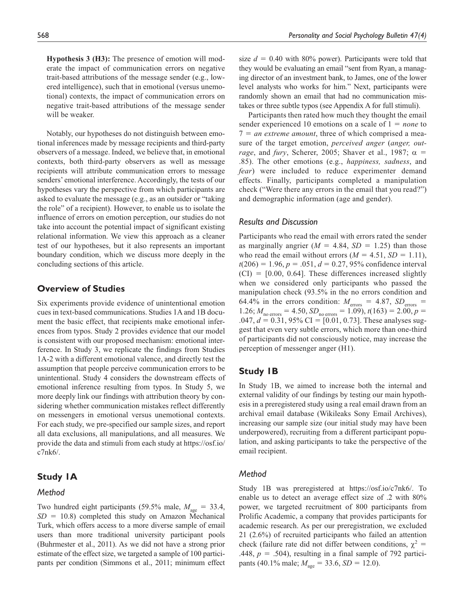**Hypothesis 3 (H3):** The presence of emotion will moderate the impact of communication errors on negative trait-based attributions of the message sender (e.g., lowered intelligence), such that in emotional (versus unemotional) contexts, the impact of communication errors on negative trait-based attributions of the message sender will be weaker.

Notably, our hypotheses do not distinguish between emotional inferences made by message recipients and third-party observers of a message. Indeed, we believe that, in emotional contexts, both third-party observers as well as message recipients will attribute communication errors to message senders' emotional interference. Accordingly, the tests of our hypotheses vary the perspective from which participants are asked to evaluate the message (e.g., as an outsider or "taking the role" of a recipient). However, to enable us to isolate the influence of errors on emotion perception, our studies do not take into account the potential impact of significant existing relational information. We view this approach as a cleaner test of our hypotheses, but it also represents an important boundary condition, which we discuss more deeply in the concluding sections of this article.

# **Overview of Studies**

Six experiments provide evidence of unintentional emotion cues in text-based communications. Studies 1A and 1B document the basic effect, that recipients make emotional inferences from typos. Study 2 provides evidence that our model is consistent with our proposed mechanism: emotional interference. In Study 3, we replicate the findings from Studies 1A-2 with a different emotional valence, and directly test the assumption that people perceive communication errors to be unintentional. Study 4 considers the downstream effects of emotional inference resulting from typos. In Study 5, we more deeply link our findings with attribution theory by considering whether communication mistakes reflect differently on messengers in emotional versus unemotional contexts. For each study, we pre-specified our sample sizes, and report all data exclusions, all manipulations, and all measures. We provide the data and stimuli from each study at https://osf.io/ c7nk6/.

# **Study 1A**

# *Method*

Two hundred eight participants (59.5% male,  $M_{\text{age}} = 33.4$ ,  $SD = 10.8$ ) completed this study on Amazon Mechanical Turk, which offers access to a more diverse sample of email users than more traditional university participant pools (Buhrmester et al., 2011). As we did not have a strong prior estimate of the effect size, we targeted a sample of 100 participants per condition (Simmons et al., 2011; minimum effect size  $d = 0.40$  with 80% power). Participants were told that they would be evaluating an email "sent from Ryan, a managing director of an investment bank, to James, one of the lower level analysts who works for him." Next, participants were randomly shown an email that had no communication mistakes or three subtle typos (see Appendix A for full stimuli).

Participants then rated how much they thought the email sender experienced 10 emotions on a scale of 1 = *none* to 7 = *an extreme amount*, three of which comprised a measure of the target emotion, *perceived anger* (*anger, outrage*, and *fury*, Scherer, 2005; Shaver et al., 1987;  $\alpha$  = .85). The other emotions (e.g., *happiness, sadness*, and *fear*) were included to reduce experimenter demand effects. Finally, participants completed a manipulation check ("Were there any errors in the email that you read?") and demographic information (age and gender).

### *Results and Discussion*

Participants who read the email with errors rated the sender as marginally angrier  $(M = 4.84, SD = 1.25)$  than those who read the email without errors  $(M = 4.51, SD = 1.11)$ ,  $t(206) = 1.96, p = .051, d = 0.27, 95\%$  confidence interval  $(CI) = [0.00, 0.64]$ . These differences increased slightly when we considered only participants who passed the manipulation check (93.5% in the no errors condition and 64.4% in the errors condition:  $M_{\text{errors}} = 4.87$ ,  $SD_{\text{errors}} =$ 1.26;  $M_{\text{no errors}} = 4.50$ ,  $SD_{\text{no errors}} = 1.09$ ),  $t(163) = 2.00$ ,  $p =$ .047,  $d = 0.31$ , 95% CI = [0.01, 0.73]. These analyses suggest that even very subtle errors, which more than one-third of participants did not consciously notice, may increase the perception of messenger anger (H1).

# **Study 1B**

In Study 1B, we aimed to increase both the internal and external validity of our findings by testing our main hypothesis in a preregistered study using a real email drawn from an archival email database (Wikileaks Sony Email Archives), increasing our sample size (our initial study may have been underpowered), recruiting from a different participant population, and asking participants to take the perspective of the email recipient.

# *Method*

Study 1B was preregistered at https://osf.io/c7nk6/. To enable us to detect an average effect size of .2 with 80% power, we targeted recruitment of 800 participants from Prolific Academic, a company that provides participants for academic research. As per our preregistration, we excluded 21 (2.6%) of recruited participants who failed an attention check (failure rate did not differ between conditions,  $\chi^2$  = .448,  $p = .504$ ), resulting in a final sample of 792 participants (40.1% male;  $M_{\text{age}} = 33.6$ ,  $SD = 12.0$ ).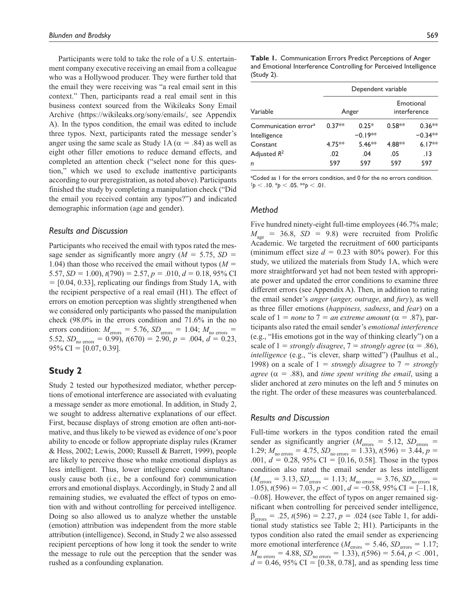Participants were told to take the role of a U.S. entertainment company executive receiving an email from a colleague who was a Hollywood producer. They were further told that the email they were receiving was "a real email sent in this context." Then, participants read a real email sent in this business context sourced from the Wikileaks Sony Email Archive (https://wikileaks.org/sony/emails/, see Appendix A). In the typos condition, the email was edited to include three typos. Next, participants rated the message sender's anger using the same scale as Study 1A ( $\alpha$  = .84) as well as eight other filler emotions to reduce demand effects, and completed an attention check ("select none for this question," which we used to exclude inattentive participants according to our preregistration, as noted above). Participants finished the study by completing a manipulation check ("Did the email you received contain any typos?") and indicated demographic information (age and gender).

### *Results and Discussion*

Participants who received the email with typos rated the message sender as significantly more angry  $(M = 5.75, SD =$ 1.04) than those who received the email without typos  $(M =$ 5.57,  $SD = 1.00$ ,  $t(790) = 2.57$ ,  $p = .010$ ,  $d = 0.18$ , 95% CI  $=$  [0.04, 0.33], replicating our findings from Study 1A, with the recipient perspective of a real email (H1). The effect of errors on emotion perception was slightly strengthened when we considered only participants who passed the manipulation check (98.0% in the errors condition and 71.6% in the no errors condition:  $M_{\text{errors}} = 5.76$ ,  $SD_{\text{errors}} = 1.04$ ;  $M_{\text{no errors}} =$ 5.52,  $SD_{\text{no errors}} = 0.99$ ,  $t(670) = 2.90$ ,  $p = .004$ ,  $d = 0.23$ ,  $95\%$  CI = [0.07, 0.39].

# **Study 2**

Study 2 tested our hypothesized mediator, whether perceptions of emotional interference are associated with evaluating a message sender as more emotional. In addition, in Study 2, we sought to address alternative explanations of our effect. First, because displays of strong emotion are often anti-normative, and thus likely to be viewed as evidence of one's poor ability to encode or follow appropriate display rules (Kramer & Hess, 2002; Lewis, 2000; Russell & Barrett, 1999), people are likely to perceive those who make emotional displays as less intelligent. Thus, lower intelligence could simultaneously cause both (i.e., be a confound for) communication errors and emotional displays. Accordingly, in Study 2 and all remaining studies, we evaluated the effect of typos on emotion with and without controlling for perceived intelligence. Doing so also allowed us to analyze whether the unstable (emotion) attribution was independent from the more stable attribution (intelligence). Second, in Study 2 we also assessed recipient perceptions of how long it took the sender to write the message to rule out the perception that the sender was rushed as a confounding explanation.

**Table 1.** Communication Errors Predict Perceptions of Anger and Emotional Interference Controlling for Perceived Intelligence (Study 2).

|                                  | Dependent variable |           |                           |           |  |  |  |
|----------------------------------|--------------------|-----------|---------------------------|-----------|--|--|--|
| Variable                         |                    | Anger     | Emotional<br>interference |           |  |  |  |
| Communication error <sup>a</sup> | $0.37**$           | $0.25*$   | $0.58**$                  | $0.36**$  |  |  |  |
| Intelligence                     |                    | $-0.19**$ |                           | $-0.34**$ |  |  |  |
| Constant                         | $4.75***$          | $5.46**$  | 4.88**                    | $6.17**$  |  |  |  |
| Adjusted $R^2$                   | .02                | .04       | .05                       | . I 3     |  |  |  |
| n                                | 597                | 597       | 597                       | 597       |  |  |  |

<sup>a</sup>Coded as I for the errors condition, and 0 for the no errors condition. †*p* < .10. \**p* < .05. \*\**p* < .01.

### *Method*

Five hundred ninety-eight full-time employees (46.7% male;  $M_{\text{age}}$  = 36.8, *SD* = 9.8) were recruited from Prolific Academic. We targeted the recruitment of 600 participants (minimum effect size  $d = 0.23$  with 80% power). For this study, we utilized the materials from Study 1A, which were more straightforward yet had not been tested with appropriate power and updated the error conditions to examine three different errors (see Appendix A). Then, in addition to rating the email sender's *anger* (*anger, outrage*, and *fury*), as well as three filler emotions (*happiness, sadness*, and *fear*) on a scale of  $1 =$  *none* to  $7 =$  *an extreme amount* ( $\alpha = .87$ ), participants also rated the email sender's *emotional interference* (e.g., "His emotions got in the way of thinking clearly") on a scale of  $1 =$  *strongly disagree*,  $7 =$  *strongly agree* ( $\alpha = .86$ ), *intelligence* (e.g., "is clever, sharp witted") (Paulhus et al., 1998) on a scale of  $1 =$  *strongly disagree* to  $7 =$  *strongly agree* ( $\alpha$  = .88), and *time spent writing the email*, using a slider anchored at zero minutes on the left and 5 minutes on the right. The order of these measures was counterbalanced.

# *Results and Discussion*

Full-time workers in the typos condition rated the email sender as significantly angrier ( $M_{\text{errors}} = 5.12$ ,  $SD_{\text{errors}} =$ 1.29;  $M_{\text{no errors}} = 4.75$ ,  $SD_{\text{no errors}} = 1.33$ ),  $t(596) = 3.44$ ,  $p =$ .001, *d* = 0.28, 95% CI = [0.16, 0.58]. Those in the typos condition also rated the email sender as less intelligent  $(M_{\text{errors}} = 3.13, SD_{\text{errors}} = 1.13; M_{\text{no errors}} = 3.76, SD_{\text{no errors}} = 1.13$ 1.05),  $t(596) = 7.03, p < .001, d = -0.58, 95\% \text{ CI} = [-1.18,$ –0.08]. However, the effect of typos on anger remained significant when controlling for perceived sender intelligence,  $\beta_{\text{errors}} = .25, t(596) = 2.27, p = .024$  (see Table 1, for additional study statistics see Table 2; H1). Participants in the typos condition also rated the email sender as experiencing more emotional interference ( $M_{\text{errors}} = 5.46$ ,  $SD_{\text{errors}} = 1.17$ ;  $M_{\text{no errors}} = 4.88$ ,  $SD_{\text{no errors}} = 1.33$ ,  $t(596) = 5.64$ ,  $p < .001$ ,  $d = 0.46, 95\% \text{ CI} = [0.38, 0.78]$ , and as spending less time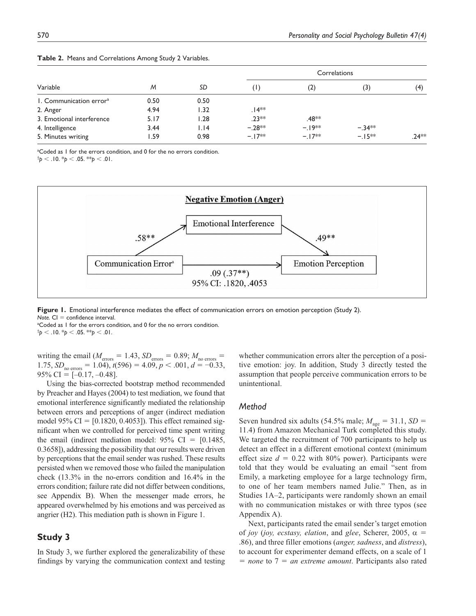|                                     |      |      | <b>Correlations</b> |                   |           |         |  |
|-------------------------------------|------|------|---------------------|-------------------|-----------|---------|--|
| Variable                            | M    | SD   | (1)                 | (2)               | (3)       | (4)     |  |
| 1. Communication error <sup>a</sup> | 0.50 | 0.50 |                     |                   |           |         |  |
| 2. Anger                            | 4.94 | 1.32 | $.14**$             |                   |           |         |  |
| 3. Emotional interference           | 5.17 | 1.28 | $.23**$             | .48 <sup>∗∗</sup> |           |         |  |
| 4. Intelligence                     | 3.44 | 1.14 | $-.28**$            | $-19**$           | $-.34***$ |         |  |
| 5. Minutes writing                  | .59  | 0.98 | $-17**$             | $-17**$           | $-15**$   | $.24**$ |  |

|  |  | Table 2. Means and Correlations Among Study 2 Variables. |  |  |  |
|--|--|----------------------------------------------------------|--|--|--|
|--|--|----------------------------------------------------------|--|--|--|

<sup>a</sup>Coded as I for the errors condition, and 0 for the no errors condition.

 $\phi$  < .10.  $\phi$  < .05. \*\*p < .01.



**Figure 1.** Emotional interference mediates the effect of communication errors on emotion perception (Study 2). *Note.* CI = confidence interval.

<sup>a</sup>Coded as I for the errors condition, and 0 for the no errors condition.  $\phi$  < .10.  $\phi$  < .05. \*\*p < .01.

writing the email ( $M_{\text{errors}} = 1.43$ ,  $SD_{\text{errors}} = 0.89$ ;  $M_{\text{no errors}} =$  $1.75, SD_{\text{no errors}} = 1.04$ ,  $t(596) = 4.09, p < .001, d = -0.33$ ,  $95\%$  CI = [-0.17, -0.48].

Using the bias-corrected bootstrap method recommended by Preacher and Hayes (2004) to test mediation, we found that emotional interference significantly mediated the relationship between errors and perceptions of anger (indirect mediation model 95%  $CI = [0.1820, 0.4053]$ . This effect remained significant when we controlled for perceived time spent writing the email (indirect mediation model:  $95\%$  CI = [0.1485, 0.3658]), addressing the possibility that our results were driven by perceptions that the email sender was rushed. These results persisted when we removed those who failed the manipulation check (13.3% in the no-errors condition and 16.4% in the errors condition; failure rate did not differ between conditions, see Appendix B). When the messenger made errors, he appeared overwhelmed by his emotions and was perceived as angrier (H2). This mediation path is shown in Figure 1.

# **Study 3**

In Study 3, we further explored the generalizability of these findings by varying the communication context and testing whether communication errors alter the perception of a positive emotion: joy. In addition, Study 3 directly tested the assumption that people perceive communication errors to be unintentional.

### *Method*

Seven hundred six adults (54.5% male;  $M_{\text{age}} = 31.1$ ,  $SD =$ 11.4) from Amazon Mechanical Turk completed this study. We targeted the recruitment of 700 participants to help us detect an effect in a different emotional context (minimum effect size  $d = 0.22$  with 80% power). Participants were told that they would be evaluating an email "sent from Emily, a marketing employee for a large technology firm, to one of her team members named Julie." Then, as in Studies 1A–2, participants were randomly shown an email with no communication mistakes or with three typos (see Appendix A).

Next, participants rated the email sender's target emotion of *joy* (*joy, ecstasy, elation*, and *glee*, Scherer, 2005,  $\alpha$  = .86), and three filler emotions (*anger, sadness*, and *distress*), to account for experimenter demand effects, on a scale of 1 = *none* to 7 = *an extreme amount*. Participants also rated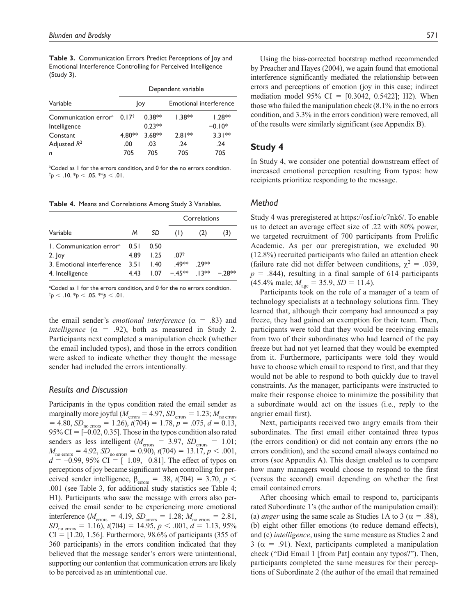**Table 3.** Communication Errors Predict Perceptions of Joy and Emotional Interference Controlling for Perceived Intelligence (Study 3).

|                                  | Dependent variable |          |          |                               |  |  |  |
|----------------------------------|--------------------|----------|----------|-------------------------------|--|--|--|
| Variable                         | Joy                |          |          | <b>Emotional interference</b> |  |  |  |
| Communication error <sup>a</sup> | 0.17 <sup>†</sup>  | $0.38**$ | $1.38**$ | $1.28**$                      |  |  |  |
| Intelligence                     |                    | $0.23**$ |          | $-0.10*$                      |  |  |  |
| Constant                         | 4.80**             | $3.68**$ | $2.81**$ | $3.31**$                      |  |  |  |
| Adjusted $R^2$                   | .00                | .03      | .24      | .24                           |  |  |  |
| n                                | 705                | 705      | 705      | 705                           |  |  |  |

<sup>a</sup>Coded as I for the errors condition, and 0 for the no errors condition.  $\phi$  < .10.  $\phi$  < .05. \*\*p < .01.

**Table 4.** Means and Correlations Among Study 3 Variables.

|                                                 |       |      | Correlations    |      |         |  |
|-------------------------------------------------|-------|------|-----------------|------|---------|--|
| Variable                                        | M     | SD   | (1)             | (2)  | (3)     |  |
| $\vert$ . Communication error <sup>a</sup> 0.51 |       | 0.50 |                 |      |         |  |
| $2.$ Joy                                        | 4.89  | 1.25 | 07 <sup>†</sup> |      |         |  |
| 3. Emotional interference                       | 3.5 L | 1.40 | 49**            | 29** |         |  |
| 4. Intelligence                                 | 4.43  | 1.07 | $-45**$ 13**    |      | $-28**$ |  |

<sup>a</sup>Coded as 1 for the errors condition, and 0 for the no errors condition.  $\frac{1}{p}$  < .10.  $\frac{k}{p}$  < .05.  $\frac{k}{p}$  < .01.

the email sender's *emotional interference*  $(\alpha = .83)$  and *intelligence*  $(\alpha = .92)$ , both as measured in Study 2. Participants next completed a manipulation check (whether the email included typos), and those in the errors condition were asked to indicate whether they thought the message sender had included the errors intentionally.

### *Results and Discussion*

Participants in the typos condition rated the email sender as marginally more joyful ( $M_{\text{errors}} = 4.97$ ,  $SD_{\text{errors}} = 1.23$ ;  $M_{\text{no errors}}$  $= 4.80, SD_{\text{no errors}} = 1.26, t(704) = 1.78, p = .075, d = 0.13,$ 95% CI =  $[-0.02, 0.35]$ . Those in the typos condition also rated senders as less intelligent ( $M_{\text{errors}} = 3.97$ ,  $SD_{\text{errors}} = 1.01$ ;  $M_{\text{no errors}} = 4.92$ ,  $SD_{\text{no errors}} = 0.90$ ,  $t(704) = 13.17$ ,  $p < .001$ , *d* = −0.99, 95% CI = [−1.09, −0.81]. The effect of typos on perceptions of joy became significant when controlling for perceived sender intelligence,  $\beta_{\text{errors}} = .38, t(704) = 3.70, p <$ .001 (see Table 3, for additional study statistics see Table 4; H1). Participants who saw the message with errors also perceived the email sender to be experiencing more emotional interference ( $M_{\text{errors}} = 4.19$ ,  $SD_{\text{errors}} = 1.28$ ;  $M_{\text{no errors}} = 2.81$ ,  $SD_{\text{no errors}} = 1.16$ ,  $t(704) = 14.95$ ,  $p < .001$ ,  $d = 1.13$ , 95%  $CI = [1.20, 1.56]$ . Furthermore, 98.6% of participants (355 of 360 participants) in the errors condition indicated that they believed that the message sender's errors were unintentional, supporting our contention that communication errors are likely to be perceived as an unintentional cue.

Using the bias-corrected bootstrap method recommended by Preacher and Hayes (2004), we again found that emotional interference significantly mediated the relationship between errors and perceptions of emotion (joy in this case; indirect mediation model 95% CI =  $[0.3042, 0.5422]$ ; H2). When those who failed the manipulation check (8.1% in the no errors condition, and 3.3% in the errors condition) were removed, all of the results were similarly significant (see Appendix B).

# **Study 4**

In Study 4, we consider one potential downstream effect of increased emotional perception resulting from typos: how recipients prioritize responding to the message.

### *Method*

Study 4 was preregistered at https://osf.io/c7nk6/. To enable us to detect an average effect size of .22 with 80% power, we targeted recruitment of 700 participants from Prolific Academic. As per our preregistration, we excluded 90 (12.8%) recruited participants who failed an attention check (failure rate did not differ between conditions,  $\chi^2 = .039$ ,  $p = .844$ ), resulting in a final sample of 614 participants  $(45.4\% \text{ male}; M_{\text{age}} = 35.9, SD = 11.4).$ 

Participants took on the role of a manager of a team of technology specialists at a technology solutions firm. They learned that, although their company had announced a pay freeze, they had gained an exemption for their team. Then, participants were told that they would be receiving emails from two of their subordinates who had learned of the pay freeze but had not yet learned that they would be exempted from it. Furthermore, participants were told they would have to choose which email to respond to first, and that they would not be able to respond to both quickly due to travel constraints. As the manager, participants were instructed to make their response choice to minimize the possibility that a subordinate would act on the issues (i.e., reply to the angrier email first).

Next, participants received two angry emails from their subordinates. The first email either contained three typos (the errors condition) or did not contain any errors (the no errors condition), and the second email always contained no errors (see Appendix A). This design enabled us to compare how many managers would choose to respond to the first (versus the second) email depending on whether the first email contained errors.

After choosing which email to respond to, participants rated Subordinate 1's (the author of the manipulation email): (a) *anger* using the same scale as Studies 1A to 3 ( $\alpha$  = .88), (b) eight other filler emotions (to reduce demand effects), and (c) *intelligence*, using the same measure as Studies 2 and 3 ( $\alpha$  = .91). Next, participants completed a manipulation check ("Did Email 1 [from Pat] contain any typos?"). Then, participants completed the same measures for their perceptions of Subordinate 2 (the author of the email that remained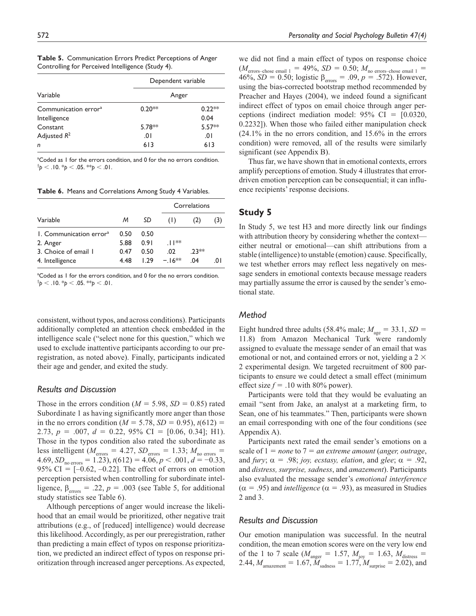|                                  | Dependent variable |          |  |  |
|----------------------------------|--------------------|----------|--|--|
| Variable                         | Anger              |          |  |  |
| Communication error <sup>a</sup> | $0.20**$           | $0.22**$ |  |  |
| Intelligence                     |                    | 0.04     |  |  |
| Constant                         | 5.78**             | $5.57**$ |  |  |
| Adjusted $R^2$                   | .01                | 0١.      |  |  |
| n                                | 613                | 613      |  |  |

**Table 5.** Communication Errors Predict Perceptions of Anger Controlling for Perceived Intelligence (Study 4).

<sup>a</sup>Coded as I for the errors condition, and 0 for the no errors condition.  $\phi$  < .10.  $\phi$  < .05. \*\*p < .01.

**Table 6.** Means and Correlations Among Study 4 Variables.

|                                     |      |            |         | Correlations |          |  |
|-------------------------------------|------|------------|---------|--------------|----------|--|
| Variable                            | M    | SD         | (1)     |              | (3)      |  |
| 1. Communication error <sup>a</sup> | 0.50 | 0.50       |         |              |          |  |
| 2. Anger                            | 5.88 | 0.91       | $11**$  |              |          |  |
| 3. Choice of email 1                | 0.47 | 0.50       | .02     | $.23**$      |          |  |
| 4. Intelligence                     | 4.48 | <b>129</b> | $-16**$ | 04           | $\Omega$ |  |

<sup>a</sup>Coded as 1 for the errors condition, and 0 for the no errors condition.  $\uparrow p$  < .10.  $\uparrow p$  < .05. \*\* $p$  < .01.

consistent, without typos, and across conditions). Participants additionally completed an attention check embedded in the intelligence scale ("select none for this question," which we used to exclude inattentive participants according to our preregistration, as noted above). Finally, participants indicated their age and gender, and exited the study.

### *Results and Discussion*

Those in the errors condition  $(M = 5.98, SD = 0.85)$  rated Subordinate 1 as having significantly more anger than those in the no errors condition ( $M = 5.78$ ,  $SD = 0.95$ ),  $t(612) =$ 2.73, *p* = .007, *d* = 0.22, 95% CI = [0.06, 0.34]; H1). Those in the typos condition also rated the subordinate as less intelligent ( $M_{\text{errors}} = 4.27$ ,  $SD_{\text{errors}} = 1.33$ ;  $M_{\text{no errors}} =$  $4.69, SD_{\text{no errors}} = 1.23$ ,  $t(612) = 4.06, p < .001, d = -0.33$ , 95% CI =  $[-0.62, -0.22]$ . The effect of errors on emotion perception persisted when controlling for subordinate intelligence,  $\beta_{\text{errors}} = .22$ ,  $p = .003$  (see Table 5, for additional study statistics see Table 6).

Although perceptions of anger would increase the likelihood that an email would be prioritized, other negative trait attributions (e.g., of [reduced] intelligence) would decrease this likelihood. Accordingly, as per our preregistration, rather than predicting a main effect of typos on response prioritization, we predicted an indirect effect of typos on response prioritization through increased anger perceptions. As expected,

we did not find a main effect of typos on response choice  $(M_{\text{errors}-\text{chose email 1}} = 49\%, SD = 0.50; M_{\text{no errors}-\text{chose email 1}} =$ 46%, *SD* = 0.50; logistic β<sub>errors</sub> = .09,  $p = .572$ ). However, using the bias-corrected bootstrap method recommended by Preacher and Hayes (2004), we indeed found a significant indirect effect of typos on email choice through anger perceptions (indirect mediation model:  $95\%$  CI = [0.0320, 0.2232]). When those who failed either manipulation check (24.1% in the no errors condition, and 15.6% in the errors condition) were removed, all of the results were similarly significant (see Appendix B).

Thus far, we have shown that in emotional contexts, errors amplify perceptions of emotion. Study 4 illustrates that errordriven emotion perception can be consequential; it can influence recipients' response decisions.

# **Study 5**

In Study 5, we test H3 and more directly link our findings with attribution theory by considering whether the context either neutral or emotional—can shift attributions from a stable (intelligence) to unstable (emotion) cause. Specifically, we test whether errors may reflect less negatively on message senders in emotional contexts because message readers may partially assume the error is caused by the sender's emotional state.

# *Method*

Eight hundred three adults (58.4% male;  $M_{\text{age}} = 33.1$ , *SD* = 11.8) from Amazon Mechanical Turk were randomly assigned to evaluate the message sender of an email that was emotional or not, and contained errors or not, yielding a 2  $\times$ 2 experimental design. We targeted recruitment of 800 participants to ensure we could detect a small effect (minimum effect size  $f = .10$  with 80% power).

Participants were told that they would be evaluating an email "sent from Jake, an analyst at a marketing firm, to Sean, one of his teammates." Then, participants were shown an email corresponding with one of the four conditions (see Appendix A).

Participants next rated the email sender's emotions on a scale of 1 = *none* to 7 = *an extreme amount* (*anger, outrage*, and *fury*;  $\alpha = .98$ ; *joy, ecstasy, elation*, and *glee*;  $\alpha = .92$ , and *distress, surprise, sadness*, and *amazement*). Participants also evaluated the message sender's *emotional interference*  $(\alpha = .95)$  and *intelligence* ( $\alpha = .93$ ), as measured in Studies 2 and 3.

# *Results and Discussion*

Our emotion manipulation was successful. In the neutral condition, the mean emotion scores were on the very low end of the 1 to 7 scale ( $M_{\text{anger}} = 1.57, M_{\text{joy}} = 1.63, M_{\text{distress}} =$ 2.44,  $M_{\text{amazement}} = 1.67$ ,  $M_{\text{sadness}} = 1.77$ ,  $M_{\text{surprise}} = 2.02$ ), and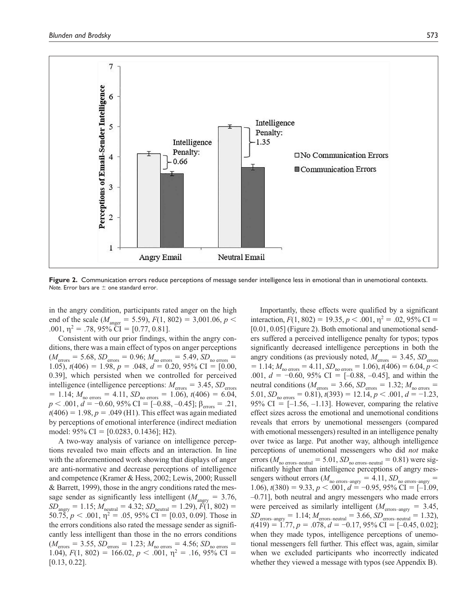

**Figure 2.** Communication errors reduce perceptions of message sender intelligence less in emotional than in unemotional contexts. *Note.* Error bars are ± one standard error.

in the angry condition, participants rated anger on the high end of the scale ( $M_{\text{anger}} = 5.59$ ),  $F(1, 802) = 3,001.06, p <$ .001,  $\eta^2 = .78$ ,  $95\%$  CI = [0.77, 0.81].

Consistent with our prior findings, within the angry conditions, there was a main effect of typos on anger perceptions  $(M_{\text{errors}} = 5.68, SD_{\text{errors}} = 0.96; M_{\text{no errors}} = 5.49, SD_{\text{no errors}} = 1$ 1.05),  $t(406) = 1.98$ ,  $p = .048$ ,  $d = 0.20$ ,  $95\%$  CI = [0.00, 0.39], which persisted when we controlled for perceived intelligence (intelligence perceptions:  $M_{\text{errors}} = 3.45$ ,  $SD_{\text{errors}}$  $= 1.14$ ;  $M_{\text{no errors}} = 4.11$ ,  $SD_{\text{no errors}} = 1.06$ ),  $t(406) = 6.04$ ,  $p < .001$ ,  $d = -0.60$ , 95% CI = [-0.88, -0.45];  $\beta_{\text{errors}} = .21$ ,  $t(406) = 1.98, p = .049$  (H1). This effect was again mediated by perceptions of emotional interference (indirect mediation model: 95% CI = [0.0283, 0.1436]; H2).

A two-way analysis of variance on intelligence perceptions revealed two main effects and an interaction. In line with the aforementioned work showing that displays of anger are anti-normative and decrease perceptions of intelligence and competence (Kramer & Hess, 2002; Lewis, 2000; Russell & Barrett, 1999), those in the angry conditions rated the message sender as significantly less intelligent ( $M_{\text{angry}} = 3.76$ ,  $\widetilde{SD}_{\text{angry}} = 1.15; M_{\text{neutral}} = 4.32; SD_{\text{neutral}} = 1.29, \widetilde{F}(1, 802) =$ 50.75,  $p < .001$ ,  $\eta^2 = .05$ , 95% CI = [0.03, 0.09]. Those in the errors conditions also rated the message sender as significantly less intelligent than those in the no errors conditions  $(M_{\text{errors}} = 3.55, SD_{\text{errors}} = 1.23; M_{\text{no errors}} = 4.56; SD_{\text{no errors}} = 1.23$ 1.04),  $F(1, 802) = 166.02, p < .001, \eta^2 = .16, 95\%$  CI = [0.13, 0.22].

Importantly, these effects were qualified by a significant interaction,  $F(1, 802) = 19.35, p < .001, \eta^2 = .02, 95\% \text{ CI} =$ [0.01, 0.05] (Figure 2). Both emotional and unemotional senders suffered a perceived intelligence penalty for typos; typos significantly decreased intelligence perceptions in both the angry conditions (as previously noted,  $M_{\text{errors}} = 3.45$ ,  $SD_{\text{errors}}$  $= 1.14; M_{\text{no errors}} = 4.11, SD_{\text{no errors}} = 1.06$ ,  $t(406) = 6.04, p <$ .001, *d* = −0.60, 95% CI = [−0.88, −0.45], and within the neutral conditions ( $M_{\text{errors}} = 3.66$ ,  $SD_{\text{errors}} = 1.32$ ;  $M_{\text{no errors}} =$ 5.01,  $SD_{\text{no errors}} = 0.81$ ,  $t(393) = 12.14$ ,  $p < .001$ ,  $d = -1.23$ , 95% CI =  $[-1.56, -1.13]$ . However, comparing the relative effect sizes across the emotional and unemotional conditions reveals that errors by unemotional messengers (compared with emotional messengers) resulted in an intelligence penalty over twice as large. Put another way, although intelligence perceptions of unemotional messengers who did *not* make errors ( $M_{\text{no errors–neutral}} = 5.01$ ,  $SD_{\text{no errors–neutral}} = 0.81$ ) were significantly higher than intelligence perceptions of angry messengers without errors ( $M_{\text{no errors–angry}} = 4.11$ ,  $SD_{\text{no errors–angry}} =$ 1.06),  $t(380) = 9.33, p < .001, d = -0.95, 95\%$  CI = [-1.09, –0.71], both neutral and angry messengers who made errors were perceived as similarly intelligent ( $M_{\text{errors–angry}} = 3.45$ ,  $SD_{\text{errors–angry}} = 1.14$ ;  $M_{\text{errors–neutral}} = 3.66$ ,  $SD_{\text{errors–neutral}} = 1.32$ ),  $t(419) = 1.77, p = .078, d = -0.17, 95\% \text{ CI} = [-0.45, 0.02];$ when they made typos, intelligence perceptions of unemotional messengers fell further. This effect was, again, similar when we excluded participants who incorrectly indicated whether they viewed a message with typos (see Appendix B).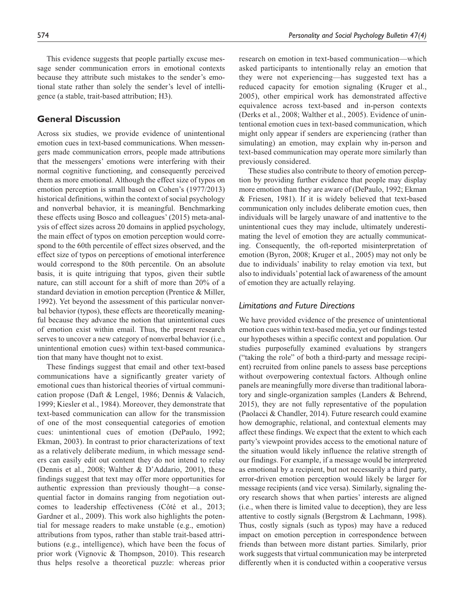This evidence suggests that people partially excuse message sender communication errors in emotional contexts because they attribute such mistakes to the sender's emotional state rather than solely the sender's level of intelligence (a stable, trait-based attribution; H3).

# **General Discussion**

Across six studies, we provide evidence of unintentional emotion cues in text-based communications. When messengers made communication errors, people made attributions that the messengers' emotions were interfering with their normal cognitive functioning, and consequently perceived them as more emotional. Although the effect size of typos on emotion perception is small based on Cohen's (1977/2013) historical definitions, within the context of social psychology and nonverbal behavior, it is meaningful. Benchmarking these effects using Bosco and colleagues' (2015) meta-analysis of effect sizes across 20 domains in applied psychology, the main effect of typos on emotion perception would correspond to the 60th percentile of effect sizes observed, and the effect size of typos on perceptions of emotional interference would correspond to the 80th percentile. On an absolute basis, it is quite intriguing that typos, given their subtle nature, can still account for a shift of more than 20% of a standard deviation in emotion perception (Prentice & Miller, 1992). Yet beyond the assessment of this particular nonverbal behavior (typos), these effects are theoretically meaningful because they advance the notion that unintentional cues of emotion exist within email. Thus, the present research serves to uncover a new category of nonverbal behavior (i.e., unintentional emotion cues) within text-based communication that many have thought not to exist.

These findings suggest that email and other text-based communications have a significantly greater variety of emotional cues than historical theories of virtual communication propose (Daft & Lengel, 1986; Dennis & Valacich, 1999; Kiesler et al., 1984). Moreover, they demonstrate that text-based communication can allow for the transmission of one of the most consequential categories of emotion cues: unintentional cues of emotion (DePaulo, 1992; Ekman, 2003). In contrast to prior characterizations of text as a relatively deliberate medium, in which message senders can easily edit out content they do not intend to relay (Dennis et al., 2008; Walther & D'Addario, 2001), these findings suggest that text may offer more opportunities for authentic expression than previously thought—a consequential factor in domains ranging from negotiation outcomes to leadership effectiveness (Côté et al., 2013; Gardner et al., 2009). This work also highlights the potential for message readers to make unstable (e.g., emotion) attributions from typos, rather than stable trait-based attributions (e.g., intelligence), which have been the focus of prior work (Vignovic & Thompson, 2010). This research thus helps resolve a theoretical puzzle: whereas prior

research on emotion in text-based communication—which asked participants to intentionally relay an emotion that they were not experiencing—has suggested text has a reduced capacity for emotion signaling (Kruger et al., 2005), other empirical work has demonstrated affective equivalence across text-based and in-person contexts (Derks et al., 2008; Walther et al., 2005). Evidence of unintentional emotion cues in text-based communication, which might only appear if senders are experiencing (rather than simulating) an emotion, may explain why in-person and text-based communication may operate more similarly than previously considered.

These studies also contribute to theory of emotion perception by providing further evidence that people may display more emotion than they are aware of (DePaulo, 1992; Ekman & Friesen, 1981). If it is widely believed that text-based communication only includes deliberate emotion cues, then individuals will be largely unaware of and inattentive to the unintentional cues they may include, ultimately underestimating the level of emotion they are actually communicating. Consequently, the oft-reported misinterpretation of emotion (Byron, 2008; Kruger et al., 2005) may not only be due to individuals' inability to relay emotion via text, but also to individuals' potential lack of awareness of the amount of emotion they are actually relaying.

# *Limitations and Future Directions*

We have provided evidence of the presence of unintentional emotion cues within text-based media, yet our findings tested our hypotheses within a specific context and population. Our studies purposefully examined evaluations by strangers ("taking the role" of both a third-party and message recipient) recruited from online panels to assess base perceptions without overpowering contextual factors. Although online panels are meaningfully more diverse than traditional laboratory and single-organization samples (Landers & Behrend, 2015), they are not fully representative of the population (Paolacci & Chandler, 2014). Future research could examine how demographic, relational, and contextual elements may affect these findings. We expect that the extent to which each party's viewpoint provides access to the emotional nature of the situation would likely influence the relative strength of our findings. For example, if a message would be interpreted as emotional by a recipient, but not necessarily a third party, error-driven emotion perception would likely be larger for message recipients (and vice versa). Similarly, signaling theory research shows that when parties' interests are aligned (i.e., when there is limited value to deception), they are less attentive to costly signals (Bergstrom & Lachmann, 1998). Thus, costly signals (such as typos) may have a reduced impact on emotion perception in correspondence between friends than between more distant parties. Similarly, prior work suggests that virtual communication may be interpreted differently when it is conducted within a cooperative versus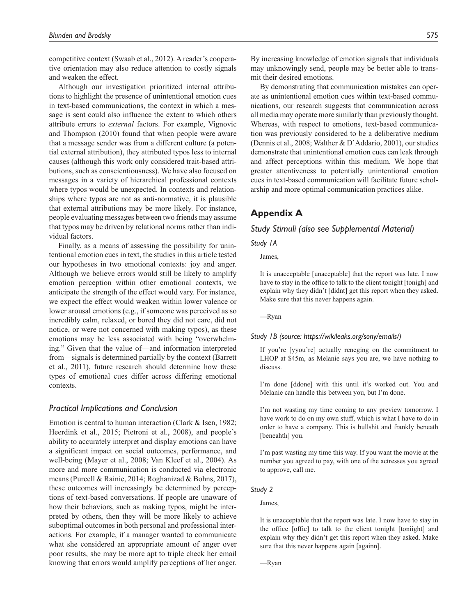competitive context (Swaab et al., 2012). A reader's cooperative orientation may also reduce attention to costly signals and weaken the effect.

Although our investigation prioritized internal attributions to highlight the presence of unintentional emotion cues in text-based communications, the context in which a message is sent could also influence the extent to which others attribute errors to *external* factors. For example, Vignovic and Thompson (2010) found that when people were aware that a message sender was from a different culture (a potential external attribution), they attributed typos less to internal causes (although this work only considered trait-based attributions, such as conscientiousness). We have also focused on messages in a variety of hierarchical professional contexts where typos would be unexpected. In contexts and relationships where typos are not as anti-normative, it is plausible that external attributions may be more likely. For instance, people evaluating messages between two friends may assume that typos may be driven by relational norms rather than individual factors.

Finally, as a means of assessing the possibility for unintentional emotion cues in text, the studies in this article tested our hypotheses in two emotional contexts: joy and anger. Although we believe errors would still be likely to amplify emotion perception within other emotional contexts, we anticipate the strength of the effect would vary. For instance, we expect the effect would weaken within lower valence or lower arousal emotions (e.g., if someone was perceived as so incredibly calm, relaxed, or bored they did not care, did not notice, or were not concerned with making typos), as these emotions may be less associated with being "overwhelming." Given that the value of—and information interpreted from—signals is determined partially by the context (Barrett et al., 2011), future research should determine how these types of emotional cues differ across differing emotional contexts.

### *Practical Implications and Conclusion*

Emotion is central to human interaction (Clark & Isen, 1982; Heerdink et al., 2015; Pietroni et al., 2008), and people's ability to accurately interpret and display emotions can have a significant impact on social outcomes, performance, and well-being (Mayer et al., 2008; Van Kleef et al., 2004). As more and more communication is conducted via electronic means (Purcell & Rainie, 2014; Roghanizad & Bohns, 2017), these outcomes will increasingly be determined by perceptions of text-based conversations. If people are unaware of how their behaviors, such as making typos, might be interpreted by others, then they will be more likely to achieve suboptimal outcomes in both personal and professional interactions. For example, if a manager wanted to communicate what she considered an appropriate amount of anger over poor results, she may be more apt to triple check her email knowing that errors would amplify perceptions of her anger.

By increasing knowledge of emotion signals that individuals may unknowingly send, people may be better able to transmit their desired emotions.

By demonstrating that communication mistakes can operate as unintentional emotion cues within text-based communications, our research suggests that communication across all media may operate more similarly than previously thought. Whereas, with respect to emotions, text-based communication was previously considered to be a deliberative medium (Dennis et al., 2008; Walther & D'Addario, 2001), our studies demonstrate that unintentional emotion cues can leak through and affect perceptions within this medium. We hope that greater attentiveness to potentially unintentional emotion cues in text-based communication will facilitate future scholarship and more optimal communication practices alike.

# **Appendix A**

### *Study Stimuli (also see Supplemental Material)*

### *Study 1A*

### James,

It is unacceptable [unaceptable] that the report was late. I now have to stay in the office to talk to the client tonight [tonigh] and explain why they didn't [didnt] get this report when they asked. Make sure that this never happens again.

—Ryan

### *Study 1B (source: https://wikileaks.org/sony/emails/)*

If you're [yyou're] actually reneging on the commitment to LHOP at \$45m, as Melanie says you are, we have nothing to discuss.

I'm done [ddone] with this until it's worked out. You and Melanie can handle this between you, but I'm done.

I'm not wasting my time coming to any preview tomorrow. I have work to do on my own stuff, which is what I have to do in order to have a company. This is bullshit and frankly beneath [beneahth] you.

I'm past wasting my time this way. If you want the movie at the number you agreed to pay, with one of the actresses you agreed to approve, call me.

### *Study 2*

# James,

It is unacceptable that the report was late. I now have to stay in the office [offic] to talk to the client tonight [toniight] and explain why they didn't get this report when they asked. Make sure that this never happens again [againn].

—Ryan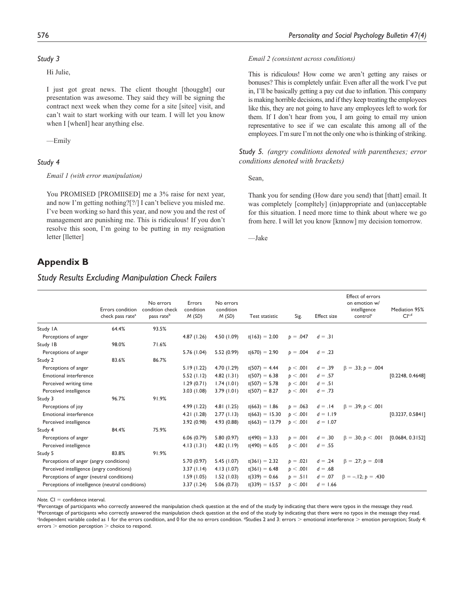### *Study 3*

Hi Julie,

I just got great news. The client thought [thougght] our presentation was awesome. They said they will be signing the contract next week when they come for a site [sitee] visit, and can't wait to start working with our team. I will let you know when I [whenI] hear anything else.

—Emily

### *Study 4*

### *Email 1 (with error manipulation)*

You PROMISED [PROMIISED] me a 3% raise for next year, and now I'm getting nothing?[?/] I can't believe you misled me. I've been working so hard this year, and now you and the rest of management are punishing me. This is ridiculous! If you don't resolve this soon, I'm going to be putting in my resignation letter [lletter]

# **Appendix B**

# *Study Results Excluding Manipulation Check Failers*

#### *Email 2 (consistent across conditions)*

This is ridiculous! How come we aren't getting any raises or bonuses? This is completely unfair. Even after all the work I've put in, I'll be basically getting a pay cut due to inflation. This company is making horrible decisions, and if they keep treating the employees like this, they are not going to have any employees left to work for them. If I don't hear from you, I am going to email my union representative to see if we can escalate this among all of the employees. I'm sure I'm not the only one who is thinking of striking.

*Study 5. (angry conditions denoted with parentheses; error conditions denoted with brackets)*

Sean,

Thank you for sending (How dare you send) that [thatt] email. It was completely [compltely] (in)appropriate and (un)acceptable for this situation. I need more time to think about where we go from here. I will let you know [knnow] my decision tomorrow.

—Jake

|                                                  | Errors condition             | No errors<br>condition check | Errors<br>condition | No errors<br>condition |                  |            |                    | Effect of errors<br>on emotion w/<br>intelligence | Mediation 95%     |
|--------------------------------------------------|------------------------------|------------------------------|---------------------|------------------------|------------------|------------|--------------------|---------------------------------------------------|-------------------|
|                                                  | check pass rate <sup>a</sup> | pass rate <sup>b</sup>       | M(SD)               | M(SD)                  | Test statistic   | Sig.       | <b>Effect size</b> | control <sup>c</sup>                              | Cl <sub>c,d</sub> |
| Study IA                                         | 64.4%                        | 93.5%                        |                     |                        |                  |            |                    |                                                   |                   |
| Perceptions of anger                             |                              |                              | 4.87(1.26)          | 4.50(1.09)             | $t(163) = 2.00$  | $p = .047$ | $d = .31$          |                                                   |                   |
| Study IB                                         | 98.0%                        | 71.6%                        |                     |                        |                  |            |                    |                                                   |                   |
| Perceptions of anger                             |                              |                              | 5.76 (1.04)         | 5.52(0.99)             | $t(670) = 2.90$  | $p = .004$ | $d = .23$          |                                                   |                   |
| Study 2                                          | 83.6%                        | 86.7%                        |                     |                        |                  |            |                    |                                                   |                   |
| Perceptions of anger                             |                              |                              | 5.19(1.22)          | 4.70 (1.29)            | $t(507) = 4.44$  | p < .001   | $d = .39$          | $\beta = .33; b = .004$                           |                   |
| <b>Emotional interference</b>                    |                              |                              | 5.52(1.12)          | 4.82(1.31)             | $t(507) = 6.38$  | p < .001   | $d = .57$          |                                                   | [0.2248, 0.4648]  |
| Perceived writing time                           |                              |                              | 1.29(0.71)          | 1.74(1.01)             | $t(507) = 5.78$  | p < .001   | $d = .51$          |                                                   |                   |
| Perceived intelligence                           |                              |                              | 3.03(1.08)          | 3.79(1.01)             | $t(507) = 8.27$  | p < .001   | $d = .73$          |                                                   |                   |
| Study 3                                          | 96.7%                        | 91.9%                        |                     |                        |                  |            |                    |                                                   |                   |
| Perceptions of joy                               |                              |                              | 4.99 (1.22)         | 4.81(1.25)             | $t(663) = 1.86$  | $p = .063$ | $d = .14$          | $\beta = .39; b < .001$                           |                   |
| <b>Emotional interference</b>                    |                              |                              | 4.21(1.28)          | 2.77(1.13)             | $t(663) = 15.30$ | b < .001   | $d = 1.19$         |                                                   | [0.3237, 0.5841]  |
| Perceived intelligence                           |                              |                              | 3.92 (0.98)         | 4.93 (0.88)            | $t(663) = 13.79$ | p < .001   | $d = 1.07$         |                                                   |                   |
| Study 4                                          | 84.4%                        | 75.9%                        |                     |                        |                  |            |                    |                                                   |                   |
| Perceptions of anger                             |                              |                              | 6.06(0.79)          | 5.80(0.97)             | $t(490) = 3.33$  | $p = .001$ | $d = .30$          | $\beta = .30; b < .001$                           | [0.0684, 0.3152]  |
| Perceived intelligence                           |                              |                              | 4.13(1.31)          | 4.82(1.19)             | $t(490) = 6.05$  | p < .001   | $d = .55$          |                                                   |                   |
| Study 5                                          | 83.8%                        | 91.9%                        |                     |                        |                  |            |                    |                                                   |                   |
| Perceptions of anger (angry conditions)          |                              |                              | 5.70 (0.97)         | 5.45(1.07)             | $t(361) = 2.32$  | $p = .021$ | $d = .24$          | $\beta = .27; p = .018$                           |                   |
| Perceived intelligence (angry conditions)        |                              |                              | 3.37(1.14)          | 4.13(1.07)             | $t(361) = 6.48$  | p < .001   | $d = .68$          |                                                   |                   |
| Perceptions of anger (neutral conditions)        |                              |                              | 1.59(1.05)          | 1.52(1.03)             | $t(339) = 0.66$  | $p = .511$ | $d = .07$          | $\beta = -12$ ; $b = .430$                        |                   |
| Perceptions of intelligence (neutral conditions) |                              |                              | 3.37(1.24)          | 5.06(0.73)             | $t(339) = 15.57$ | p < .001   | $d = 1.66$         |                                                   |                   |

*Note*  $CI = confidence$  interval.

<sup>a</sup>Percentage of participants who correctly answered the manipulation check question at the end of the study by indicating that there were typos in the message they read. bPercentage of participants who correctly answered the manipulation check question at the end of the study by indicating that there were no typos in the message they read.  $^{\circ}$ Independent variable coded as 1 for the errors condition, and 0 for the no errors condition.  $^{\circ}$ Studies 2 and 3: errors  $>$  emotional interference  $>$  emotion perception; Study 4: errors > emotion perception > choice to respond.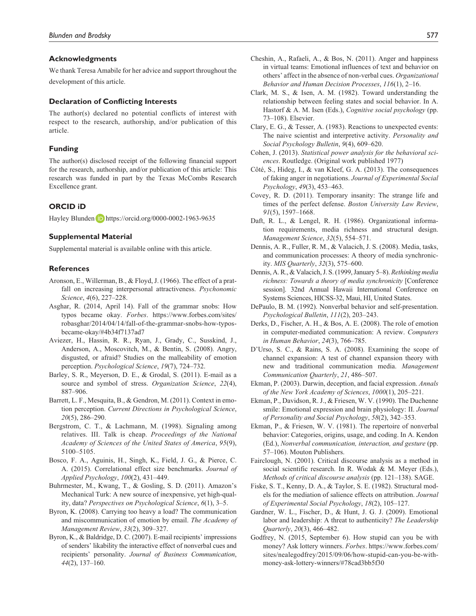#### **Acknowledgments**

We thank Teresa Amabile for her advice and support throughout the development of this article.

### **Declaration of Conflicting Interests**

The author(s) declared no potential conflicts of interest with respect to the research, authorship, and/or publication of this article.

#### **Funding**

The author(s) disclosed receipt of the following financial support for the research, authorship, and/or publication of this article: This research was funded in part by the Texas McCombs Research Excellence grant.

### **ORCID iD**

Hayley Blunden **b** https://orcid.org/0000-0002-1963-9635

#### **Supplemental Material**

Supplemental material is available online with this article.

### **References**

- Aronson, E., Willerman, B., & Floyd, J. (1966). The effect of a pratfall on increasing interpersonal attractiveness. *Psychonomic Science*, *4*(6), 227–228.
- Asghar, R. (2014, April 14). Fall of the grammar snobs: How typos became okay. *Forbes*. https://www.forbes.com/sites/ robasghar/2014/04/14/fall-of-the-grammar-snobs-how-typosbecame-okay/#4b34f7137ad7
- Aviezer, H., Hassin, R. R., Ryan, J., Grady, C., Susskind, J., Anderson, A., Moscovitch, M., & Bentin, S. (2008). Angry, disgusted, or afraid? Studies on the malleability of emotion perception. *Psychological Science*, *19*(7), 724–732.
- Barley, S. R., Meyerson, D. E., & Grodal, S. (2011). E-mail as a source and symbol of stress. *Organization Science*, *22*(4), 887–906.
- Barrett, L. F., Mesquita, B., & Gendron, M. (2011). Context in emotion perception. *Current Directions in Psychological Science*, *20*(5), 286–290.
- Bergstrom, C. T., & Lachmann, M. (1998). Signaling among relatives. III. Talk is cheap. *Proceedings of the National Academy of Sciences of the United States of America*, *95*(9), 5100–5105.
- Bosco, F. A., Aguinis, H., Singh, K., Field, J. G., & Pierce, C. A. (2015). Correlational effect size benchmarks. *Journal of Applied Psychology*, *100*(2), 431–449.
- Buhrmester, M., Kwang, T., & Gosling, S. D. (2011). Amazon's Mechanical Turk: A new source of inexpensive, yet high-quality, data? *Perspectives on Psychological Science*, *6*(1), 3–5.
- Byron, K. (2008). Carrying too heavy a load? The communication and miscommunication of emotion by email. *The Academy of Management Review*, *33*(2), 309–327.
- Byron, K., & Baldridge, D. C. (2007). E-mail recipients' impressions of senders' likability the interactive effect of nonverbal cues and recipients' personality. *Journal of Business Communication*, *44*(2), 137–160.
- Cheshin, A., Rafaeli, A., & Bos, N. (2011). Anger and happiness in virtual teams: Emotional influences of text and behavior on others' affect in the absence of non-verbal cues. *Organizational Behavior and Human Decision Processes*, *116*(1), 2–16.
- Clark, M. S., & Isen, A. M. (1982). Toward understanding the relationship between feeling states and social behavior. In A. Hastorf & A. M. Isen (Eds.), *Cognitive social psychology* (pp. 73–108). Elsevier.
- Clary, E. G., & Tesser, A. (1983). Reactions to unexpected events: The naive scientist and interpretive activity. *Personality and Social Psychology Bulletin*, *9*(4), 609–620.
- Cohen, J. (2013). *Statistical power analysis for the behavioral sciences*. Routledge. (Original work published 1977)
- Côté, S., Hideg, I., & van Kleef, G. A. (2013). The consequences of faking anger in negotiations. *Journal of Experimental Social Psychology*, *49*(3), 453–463.
- Covey, R. D. (2011). Temporary insanity: The strange life and times of the perfect defense. *Boston University Law Review*, *91*(5), 1597–1668.
- Daft, R. L., & Lengel, R. H. (1986). Organizational information requirements, media richness and structural design. *Management Science*, *32*(5), 554–571.
- Dennis, A. R., Fuller, R. M., & Valacich, J. S. (2008). Media, tasks, and communication processes: A theory of media synchronicity. *MIS Quarterly*, *32*(3), 575–600.
- Dennis, A. R., & Valacich, J. S. (1999, January 5–8). *Rethinking media richness: Towards a theory of media synchronicity* [Conference session]. 32nd Annual Hawaii International Conference on Systems Sciences, HICSS-32, Maui, HI, United States.
- DePaulo, B. M. (1992). Nonverbal behavior and self-presentation. *Psychological Bulletin*, *111*(2), 203–243.
- Derks, D., Fischer, A. H., & Bos, A. E. (2008). The role of emotion in computer-mediated communication: A review. *Computers in Human Behavior*, *24*(3), 766–785.
- D'Urso, S. C., & Rains, S. A. (2008). Examining the scope of channel expansion: A test of channel expansion theory with new and traditional communication media. *Management Communication Quarterly*, *21*, 486–507.
- Ekman, P. (2003). Darwin, deception, and facial expression. *Annals of the New York Academy of Sciences*, *1000*(1), 205–221.
- Ekman, P., Davidson, R. J., & Friesen, W. V. (1990). The Duchenne smile: Emotional expression and brain physiology: II. *Journal of Personality and Social Psychology*, *58*(2), 342–353.
- Ekman, P., & Friesen, W. V. (1981). The repertoire of nonverbal behavior: Categories, origins, usage, and coding. In A. Kendon (Ed.), *Nonverbal communication, interaction, and gesture* (pp. 57–106). Mouton Publishers.
- Fairclough, N. (2001). Critical discourse analysis as a method in social scientific research. In R. Wodak & M. Meyer (Eds.), *Methods of critical discourse analysis* (pp. 121–138). SAGE.
- Fiske, S. T., Kenny, D. A., & Taylor, S. E. (1982). Structural models for the mediation of salience effects on attribution. *Journal of Experimental Social Psychology*, *18*(2), 105–127.
- Gardner, W. L., Fischer, D., & Hunt, J. G. J. (2009). Emotional labor and leadership: A threat to authenticity? *The Leadership Quarterly*, *20*(3), 466–482.
- Godfrey, N. (2015, September 6). How stupid can you be with money? Ask lottery winners. *Forbes*. https://www.forbes.com/ sites/nealegodfrey/2015/09/06/how-stupid-can-you-be-withmoney-ask-lottery-winners/#78cad3bb5f30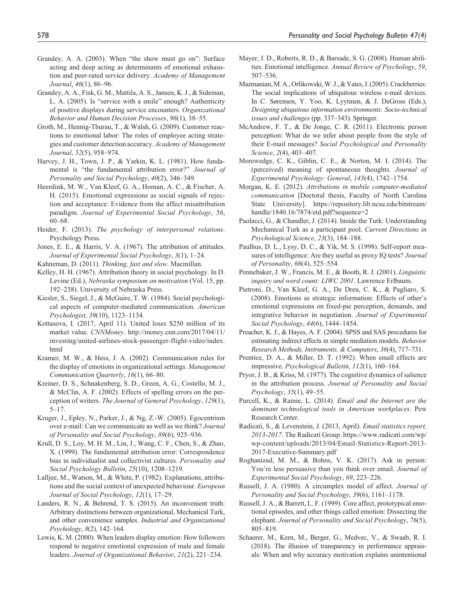- Grandey, A. A. (2003). When "the show must go on": Surface acting and deep acting as determinants of emotional exhaustion and peer-rated service delivery. *Academy of Management Journal*, *46*(1), 86–96.
- Grandey, A. A., Fisk, G. M., Mattila, A. S., Jansen, K. J., & Sideman, L. A. (2005). Is "service with a smile" enough? Authenticity of positive displays during service encounters. *Organizational Behavior and Human Decision Processes*, *96*(1), 38–55.
- Groth, M., Hennig-Thurau, T., & Walsh, G. (2009). Customer reactions to emotional labor: The roles of employee acting strategies and customer detection accuracy. *Academy of Management Journal*, *52*(5), 958–974.
- Harvey, J. H., Town, J. P., & Yarkin, K. L. (1981). How fundamental is "the fundamental attribution error?" *Journal of Personality and Social Psychology*, *40*(2), 346–349.
- Heerdink, M. W., Van Kleef, G. A., Homan, A. C., & Fischer, A. H. (2015). Emotional expressions as social signals of rejection and acceptance: Evidence from the affect misattribution paradigm. *Journal of Experimental Social Psychology*, *56*, 60–68.
- Heider, F. (2013). *The psychology of interpersonal relations*. Psychology Press.
- Jones, E. E., & Harris, V. A. (1967). The attribution of attitudes. *Journal of Experimental Social Psychology*, *3*(1), 1–24.
- Kahneman, D. (2011). *Thinking, fast and slow*. Macmillan.
- Kelley, H. H. (1967). Attribution theory in social psychology. In D. Levine (Ed.), *Nebraska symposium on motivation* (Vol. 15, pp. 192–238). University of Nebraska Press.
- Kiesler, S., Siegel, J., & McGuire, T. W. (1984). Social psychological aspects of computer-mediated communication. *American Psychologist*, *39*(10), 1123–1134.
- Kottasova, I. (2017, April 11). United loses \$250 million of its market value. *CNNMoney*. http://money.cnn.com/2017/04/11/ investing/united-airlines-stock-passenger-flight-video/index. html
- Kramer, M. W., & Hess, J. A. (2002). Communication rules for the display of emotions in organizational settings. *Management Communication Quarterly*, *16*(1), 66–80.
- Kreiner, D. S., Schnakenberg, S. D., Green, A. G., Costello, M. J., & McClin, A. F. (2002). Effects of spelling errors on the perception of writers. *The Journal of General Psychology*, *129*(1), 5–17.
- Kruger, J., Epley, N., Parker, J., & Ng, Z.-W. (2005). Egocentrism over e-mail: Can we communicate as well as we think? *Journal of Personality and Social Psychology*, *89*(6), 925–936.
- Krull, D. S., Loy, M. H. M., Lin, J., Wang, C. F., Chen, S., & Zhao, X. (1999). The fundamental attribution error: Correspondence bias in individualist and collectivist cultures. *Personality and Social Psychology Bulletin*, *25*(10), 1208–1219.
- Lalljee, M., Watson, M., & White, P. (1982). Explanations, attributions and the social context of unexpected behaviour. *European Journal of Social Psychology*, *12*(1), 17–29.
- Landers, R. N., & Behrend, T. S. (2015). An inconvenient truth: Arbitrary distinctions between organizational, Mechanical Turk, and other convenience samples. *Industrial and Organizational Psychology*, *8*(2), 142–164.
- Lewis, K. M. (2000). When leaders display emotion: How followers respond to negative emotional expression of male and female leaders. *Journal of Organizational Behavior*, *21*(2), 221–234.
- Mayer, J. D., Roberts, R. D., & Barsade, S. G. (2008). Human abilities: Emotional intelligence. *Annual Review of Psychology*, *59*, 507–536.
- Mazmanian, M. A., Orlikowski, W. J., & Yates, J. (2005). Crackberries: The social implications of ubiquitous wireless e-mail devices. In C. Sørensen, Y. Yoo, K. Lyytinen, & J. DeGross (Eds.), *Designing ubiquitous information environments: Socio-technical issues and challenges* (pp. 337–343). Springer.
- McAndrew, F. T., & De Jonge, C. R. (2011). Electronic person perception: What do we infer about people from the style of their E-mail messages? *Social Psychological and Personality Science*, *2*(4), 403–407.
- Morewedge, C. K., Giblin, C. E., & Norton, M. I. (2014). The (perceived) meaning of spontaneous thoughts. *Journal of Experimental Psychology: General*, *143*(4), 1742–1754.
- Morgan, K. E. (2012). *Attributions in mobile computer-mediated communication* [Doctoral thesis, Faculty of North Carolina State University]. https://repository.lib.ncsu.edu/bitstream/ handle/1840.16/7874/etd.pdf?sequence=2
- Paolacci, G., & Chandler, J. (2014). Inside the Turk: Understanding Mechanical Turk as a participant pool. *Current Directions in Psychological Science*, *23*(3), 184–188.
- Paulhus, D. L., Lysy, D. C., & Yik, M. S. (1998). Self-report measures of intelligence: Are they useful as proxy IQ tests? *Journal of Personality*, *66*(4), 525–554.
- Pennebaker, J. W., Francis, M. E., & Booth, R. J. (2001). *Linguistic inquiry and word count: LIWC 2001*. Lawrence Erlbaum.
- Pietroni, D., Van Kleef, G. A., De Dreu, C. K., & Pagliaro, S. (2008). Emotions as strategic information: Effects of other's emotional expressions on fixed-pie perception, demands, and integrative behavior in negotiation. *Journal of Experimental Social Psychology*, *44*(6), 1444–1454.
- Preacher, K. J., & Hayes, A. F. (2004). SPSS and SAS procedures for estimating indirect effects in simple mediation models. *Behavior Research Methods, Instruments, & Computers*, *36*(4), 717–731.
- Prentice, D. A., & Miller, D. T. (1992). When small effects are impressive. *Psychological Bulletin*, *112*(1), 160–164.
- Pryor, J. B., & Kriss, M. (1977). The cognitive dynamics of salience in the attribution process. *Journal of Personality and Social Psychology*, *35*(1), 49–55.
- Purcell, K., & Rainie, L. (2014). *Email and the Internet are the dominant technological tools in American workplaces*. Pew Research Center.
- Radicati, S., & Levenstein, J. (2013, April). *Email statistics report, 2013-2017*. The Radicati Group. https://www.radicati.com/wp/ wp-content/uploads/2013/04/Email-Statistics-Report-2013- 2017-Executive-Summary.pdf
- Roghanizad, M. M., & Bohns, V. K. (2017). Ask in person: You're less persuasive than you think over email. *Journal of Experimental Social Psychology*, *69*, 223–226.
- Russell, J. A. (1980). A circumplex model of affect. *Journal of Personality and Social Psychology*, *39*(6), 1161–1178.
- Russell, J. A., & Barrett, L. F. (1999). Core affect, prototypical emotional episodes, and other things called emotion: Dissecting the elephant. *Journal of Personality and Social Psychology*, *76*(5), 805–819.
- Schaerer, M., Kern, M., Berger, G., Medvec, V., & Swaab, R. I. (2018). The illusion of transparency in performance appraisals: When and why accuracy motivation explains unintentional